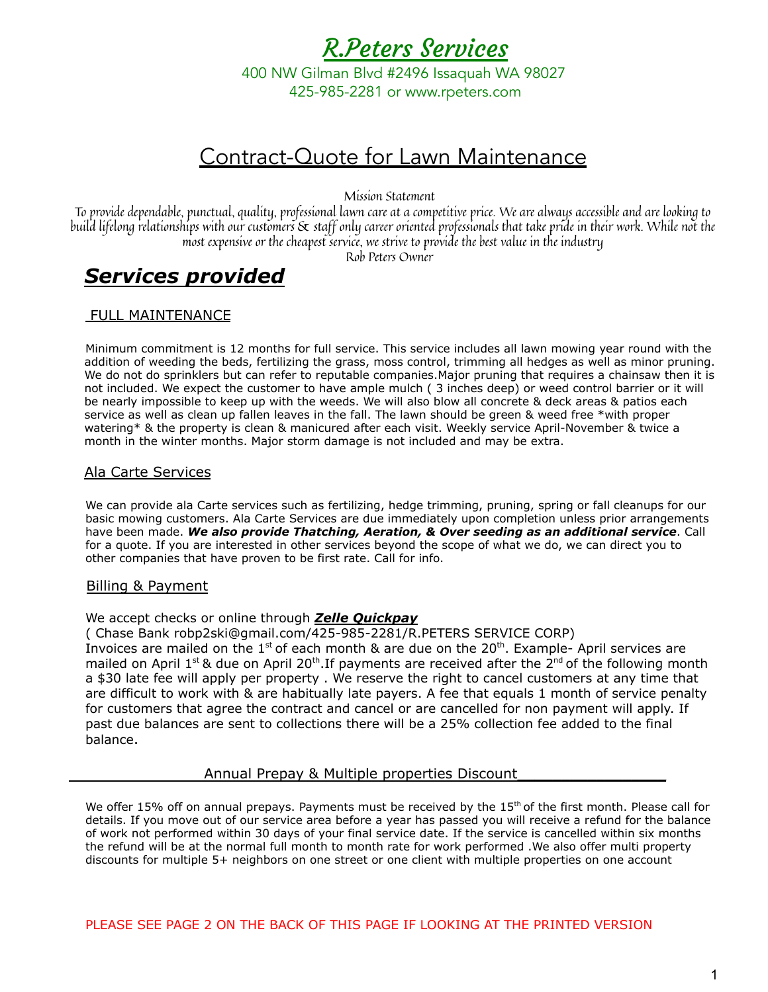R.Peters Services

400 NW Gilman Blvd #2496 Issaquah WA 98027 425-985-2281 or www.rpeters.com

# Contract-Quote for Lawn Maintenance

Mission Statement

To provide dependable, punctual, quality, professional lawn care at a competitive price. We are always accessible and are looking to build lifelong relationships with our customers & staff only career oriented professionals that take pride in their work. While not the most expensive or the cheapest service, we strive to provide the best value in the industry

Rob Peters Owner

# *Services provided*

# FULL MAINTENANCE

Minimum commitment is 12 months for full service. This service includes all lawn mowing year round with the addition of weeding the beds, fertilizing the grass, moss control, trimming all hedges as well as minor pruning. We do not do sprinklers but can refer to reputable companies.Major pruning that requires a chainsaw then it is not included. We expect the customer to have ample mulch ( 3 inches deep) or weed control barrier or it will be nearly impossible to keep up with the weeds. We will also blow all concrete & deck areas & patios each service as well as clean up fallen leaves in the fall. The lawn should be green & weed free \*with proper watering\* & the property is clean & manicured after each visit. Weekly service April-November & twice a month in the winter months. Major storm damage is not included and may be extra.

### Ala Carte Services

We can provide ala Carte services such as fertilizing, hedge trimming, pruning, spring or fall cleanups for our basic mowing customers. Ala Carte Services are due immediately upon completion unless prior arrangements have been made. *We also provide Thatching, Aeration, & Over seeding as an additional service*. Call for a quote. If you are interested in other services beyond the scope of what we do, we can direct you to other companies that have proven to be first rate. Call for info.

#### Billing & Payment

#### We accept checks or online through *Zelle Quickpay*

( Chase Bank robp2ski@gmail.com/425-985-2281/R.PETERS SERVICE CORP)

Invoices are mailed on the 1<sup>st</sup> of each month & are due on the 20<sup>th</sup>. Example- April services are mailed on April 1<sup>st</sup> & due on April 20<sup>th</sup>. If payments are received after the 2<sup>nd</sup> of the following month a \$30 late fee will apply per property . We reserve the right to cancel customers at any time that are difficult to work with & are habitually late payers. A fee that equals 1 month of service penalty for customers that agree the contract and cancel or are cancelled for non payment will apply. If past due balances are sent to collections there will be a 25% collection fee added to the final balance.

#### Annual Prepay & Multiple properties Discount\_\_\_\_\_\_\_\_\_\_\_\_\_\_\_\_\_

We offer 15% off on annual prepays. Payments must be received by the 15<sup>th</sup> of the first month. Please call for details. If you move out of our service area before a year has passed you will receive a refund for the balance of work not performed within 30 days of your final service date. If the service is cancelled within six months the refund will be at the normal full month to month rate for work performed .We also offer multi property discounts for multiple 5+ neighbors on one street or one client with multiple properties on one account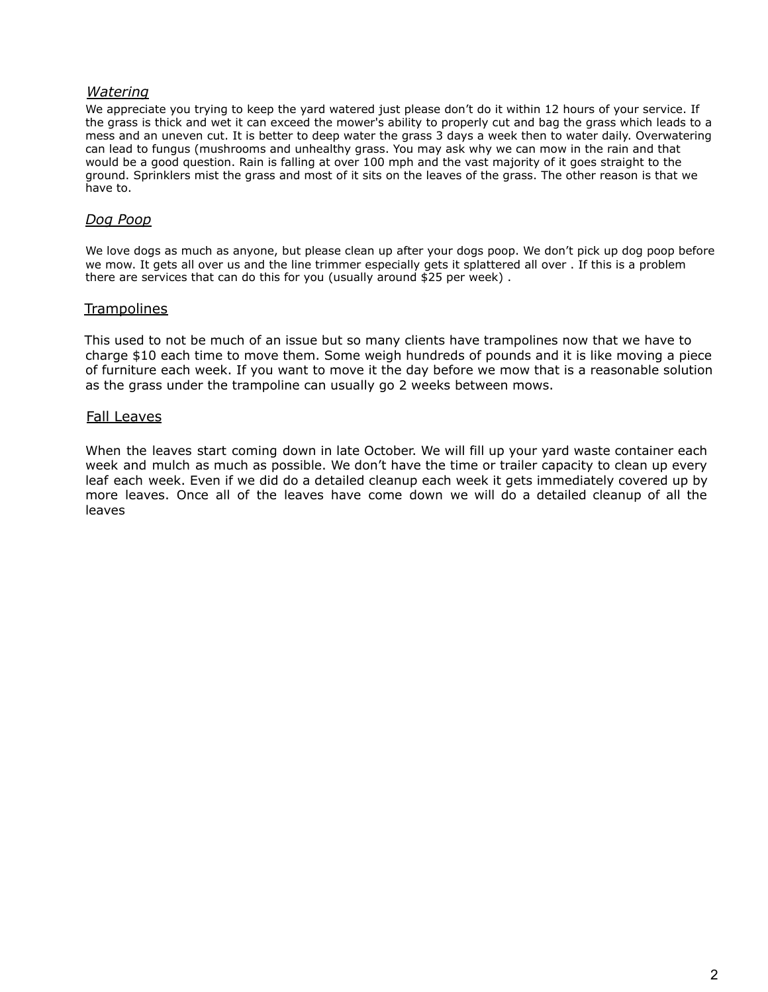## *Watering*

We appreciate you trying to keep the yard watered just please don't do it within 12 hours of your service. If the grass is thick and wet it can exceed the mower's ability to properly cut and bag the grass which leads to a mess and an uneven cut. It is better to deep water the grass 3 days a week then to water daily. Overwatering can lead to fungus (mushrooms and unhealthy grass. You may ask why we can mow in the rain and that would be a good question. Rain is falling at over 100 mph and the vast majority of it goes straight to the ground. Sprinklers mist the grass and most of it sits on the leaves of the grass. The other reason is that we have to.

# *Dog Poop*

We love dogs as much as anyone, but please clean up after your dogs poop. We don't pick up dog poop before we mow. It gets all over us and the line trimmer especially gets it splattered all over . If this is a problem there are services that can do this for you (usually around \$25 per week) .

### **Trampolines**

This used to not be much of an issue but so many clients have trampolines now that we have to charge \$10 each time to move them. Some weigh hundreds of pounds and it is like moving a piece of furniture each week. If you want to move it the day before we mow that is a reasonable solution as the grass under the trampoline can usually go 2 weeks between mows.

### Fall Leaves

When the leaves start coming down in late October. We will fill up your yard waste container each week and mulch as much as possible. We don't have the time or trailer capacity to clean up every leaf each week. Even if we did do a detailed cleanup each week it gets immediately covered up by more leaves. Once all of the leaves have come down we will do a detailed cleanup of all the leaves